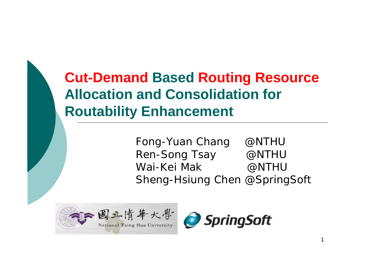# **Cut-Demand Based Routing Resource Allocation and Consolidation for Routability Enhancement**

Fong-Yuan Chang @NTHU Ren-Song Tsay @NTHU Wai-Kei Mak @NTHU Sheng-Hsiung Chen @SpringSoft



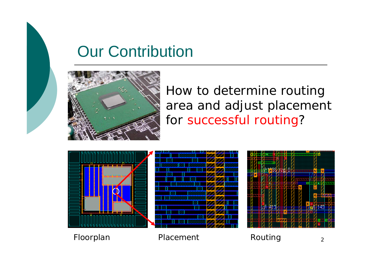# Our Contribution



#### How to determine routing area and adjust placement for successful routing ?



|            | г |   |  |  |
|------------|---|---|--|--|
|            |   |   |  |  |
| 图解         |   |   |  |  |
| Н          |   |   |  |  |
|            |   |   |  |  |
| 隵          |   |   |  |  |
|            |   |   |  |  |
| <b>IBB</b> |   |   |  |  |
|            |   |   |  |  |
|            |   | ю |  |  |
|            |   |   |  |  |
|            |   |   |  |  |



Floorplan Placement Routing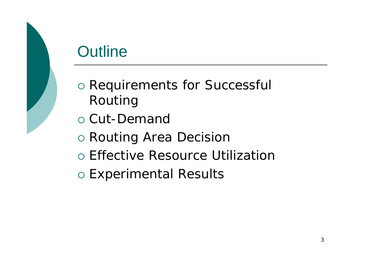# **Outline**

- o Requirements for Successful Routing
- o Cut-Demand
- { Routing Area Decision
- { Effective Resource Utilization
- { Experimental Results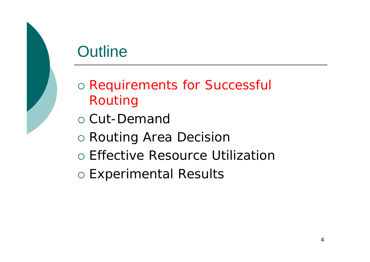# **Outline**

- o Requirements for Successful Routing
- o Cut-Demand
- { Routing Area Decision
- { Effective Resource Utilization
- { Experimental Results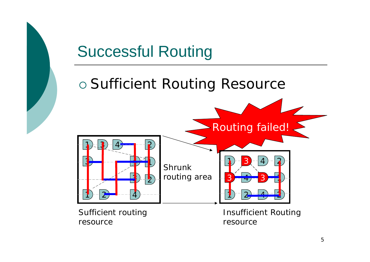# Successful Routing

#### o Sufficient Routing Resource



Sufficient routing resource

Insufficient Routing resource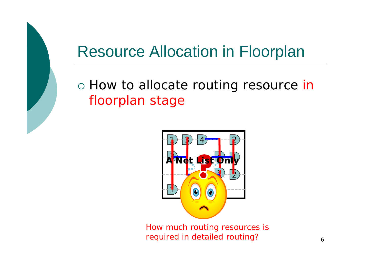## Resource Allocation in Floorplan

#### o How to allocate routing resource in floorplan stage



How much routing resources is required in detailed routing?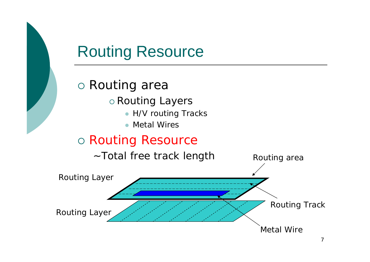#### Routing Resource

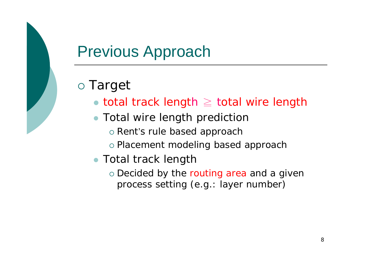## Previous Approach

#### o Target

- $\bullet$  total track length  $\geq$  total wire length
- Total wire length prediction
	- o Rent's rule based approach
	- $\circ$  Placement modeling based approach
- Total track length
	- $\circ$  Decided by the routing area and a given process setting (e.g.: layer number)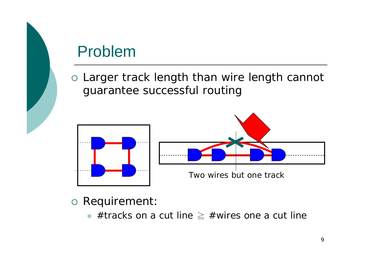#### Problem

o Larger track length than wire length cannot guarantee successful routing



- ${\circ}$  Requirement:
	- $\bullet$ #tracks on a cut line  $\ge$  #wires one a cut line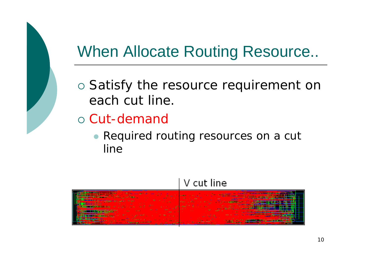## When Allocate Routing Resource..

- o Satisfy the resource requirement on each cut line.
- o Cut-demand
	- Required routing resources on a cut line

#### V cut line

| --<br>the company of the company of<br>$-$<br>with the core can make it had to<br>---<br><b>Separate</b><br>with the season of the con-<br><b>Constitution of the constitution of the con-</b><br>The first movement of the con-<br><b>COMMERCIAL CONSTRUCTION</b><br><b>State Street</b><br>--<br>. | <b>Constitution of the constitution of the constitution</b><br><b>Service Construction</b><br><b>Chapter Commission (1981) \$12.50</b><br>.<br>sales the world of an annual com-<br><b>CONTRACTOR CONTRACTOR CONTRACTOR</b><br>_<br><b>Contract Contract</b> |
|------------------------------------------------------------------------------------------------------------------------------------------------------------------------------------------------------------------------------------------------------------------------------------------------------|--------------------------------------------------------------------------------------------------------------------------------------------------------------------------------------------------------------------------------------------------------------|
|                                                                                                                                                                                                                                                                                                      | <b>CONTRACTOR</b><br><b>THE R. P. LEWIS CO., LANSING MICH.</b>                                                                                                                                                                                               |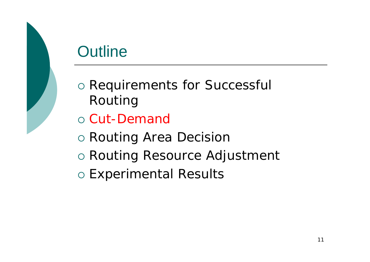# **Outline**

- o Requirements for Successful Routing
- o Cut-Demand
- { Routing Area Decision
- { Routing Resource Adjustment
- { Experimental Results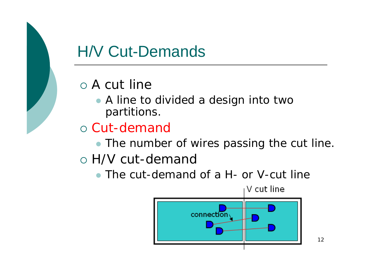#### H/V Cut-Demands

#### $\circ$  A cut line

- A line to divided a design into two partitions.
- o Cut-demand
	- The number of wires passing the cut line.
- o H/V cut-demand
	- The cut-demand of a H- or V-cut line

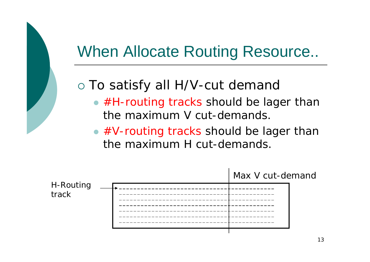## When Allocate Routing Resource..

#### o To satisfy all H/V-cut demand

- $\bullet$  #H-routing tracks should be lager than the maximum V cut-demands.
- $\bullet$  #V-routing tracks should be lager than the maximum H cut-demands.

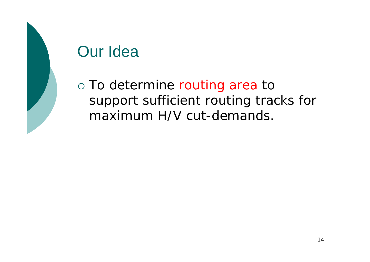#### Our Idea

 $\circ$  To determine routing area to support sufficient routing tracks for maximum H/V cut-demands.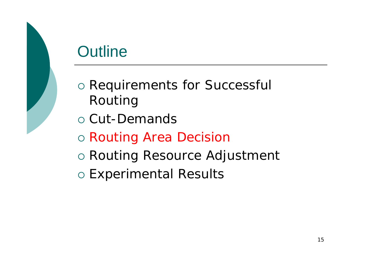# **Outline**

- o Requirements for Successful Routing
- o Cut-Demands
- o Routing Area Decision
- { Routing Resource Adjustment
- { Experimental Results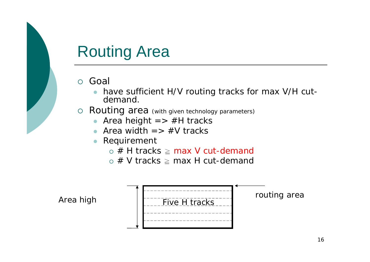#### Routing Area

#### $\circ$  Goal

 $\bullet$  have sufficient H/V routing tracks for max V/H cutdemand.

 ${\circ}$  Routing area (with given technology parameters)

- $\bullet$ Area height  $\Rightarrow$  #H tracks
- $\bullet$ Area width  $\Rightarrow$  #V tracks
- $\bullet$  Requirement
	- $\circ$  # H tracks  $\geq$  max V cut-demand
	- $\circ$  # V tracks  $\geq$  max H cut-demand

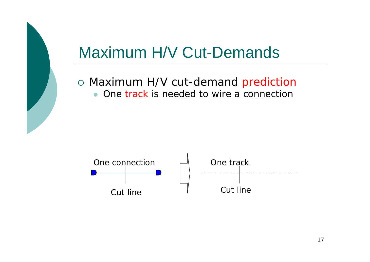## Maximum H/V Cut-Demands

#### o Maximum H/V cut-demand prediction  $\bullet$ One track is needed to wire a connection

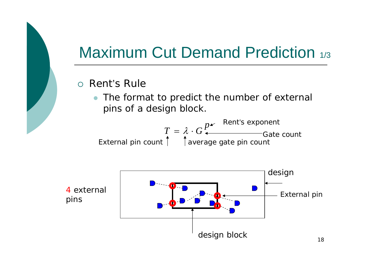## Maximum Cut Demand Prediction 1/3

#### o Rent's Rule

 $\bullet$  The format to predict the number of external pins of a design block.

$$
T = \lambda \cdot G
$$
  
External pin count  
1  
average gate pin count

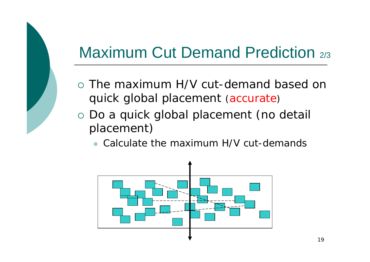## Maximum Cut Demand Prediction 2/3

- { The maximum H/V cut-demand based on quick global placement (accurate)
- o Do a quick global placement (no detail placement)
	- Calculate the maximum H/V cut-demands

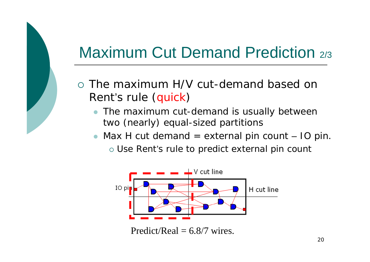#### Maximum Cut Demand Prediction 2/3

- { The maximum H/V cut-demand based on Rent's rule (quick)
	- The maximum cut-demand is usually between two (nearly) equal-sized partitions
	- Max H cut demand = external pin count  $-$  IO pin.
		- $\circ$  Use Rent's rule to predict external pin count



Predict/Real  $= 6.8/7$  wires.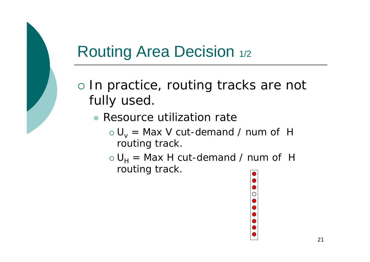#### Routing Area Decision  $1/2$

- o In practice, routing tracks are not fully used.
	- Resource utilization rate
		- $\circ$   $U_{_{V}}$  = Max V cut-demand / num of H routing track.
		- $\circ$   $U_H^{}$  = Max H cut-demand / num of H routing track.

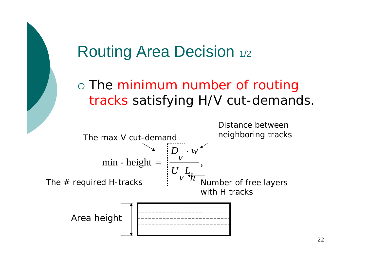#### Routing Area Decision  $1/2$

#### $\circ$  The minimum number of routing tracks satisfying H/V cut-demands.

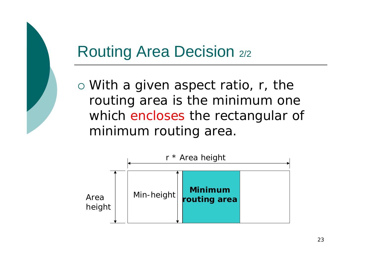#### Routing Area Decision 2/2

{ With a given aspect ratio, *<sup>r</sup>*, the routing area is the minimum one which encloses the rectangular of minimum routing area.

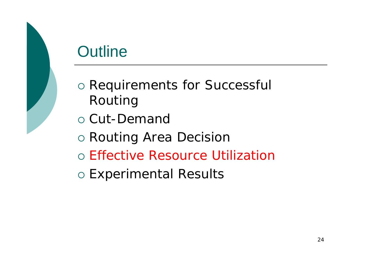# **Outline**

- o Requirements for Successful Routing
- o Cut-Demand
- { Routing Area Decision
- o Effective Resource Utilization
- { Experimental Results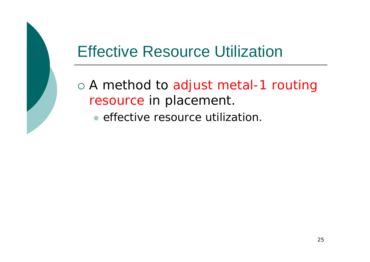## Effective Resource Utilization

- $\circ$  A method to adjust metal-1 routing resource in placement.
	- effective resource utilization.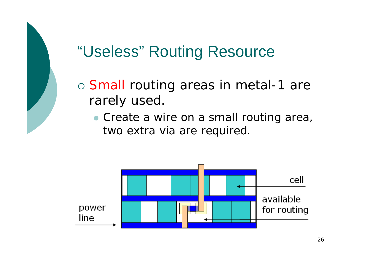## "Useless" Routing Resource

- o Small routing areas in metal-1 are rarely used.
	- Create a wire on a small routing area, two extra via are required.

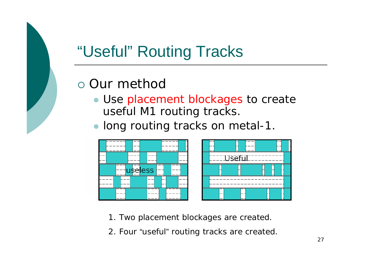# "Useful" Routing Tracks

#### o Our method

- Use placement blockages to create useful M1 routing tracks.
- long routing tracks on metal-1.



- 1. Two placement blockages are created.
- 2. Four "useful " routing tracks are created.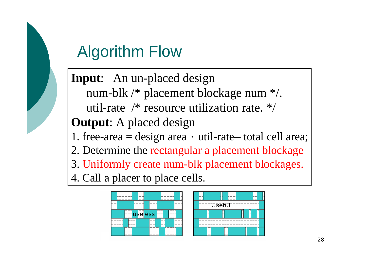# Algorithm Flow

**Input**: An un-placed design num-blk /\* placement blockage num \*/. util-rate /\* resource utilization rate. \*/ **Output**: A placed design 1. free-area = design area  $\cdot$  util-rate –— total cell area; 2. Determine the rectangular a placement blockage 3. Uniformly create num-blk placement blockages. 4. Call a placer to place cells.



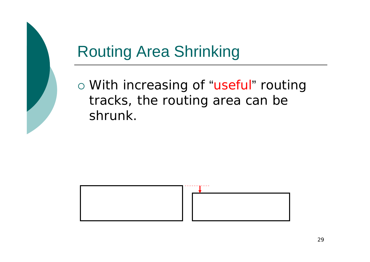# Routing Area Shrinking

o With increasing of "useful " routing tracks, the routing area can be shrunk.

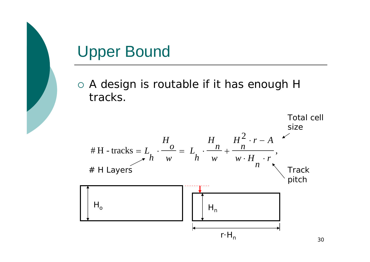#### Upper Bound

o A design is routable if it has enough H tracks.

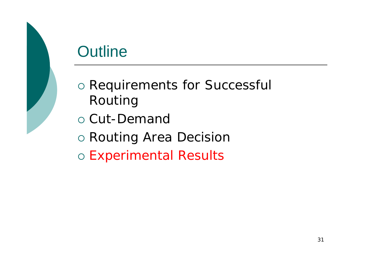## **Outline**

- o Requirements for Successful Routing
- o Cut-Demand
- { Routing Area Decision
- o Experimental Results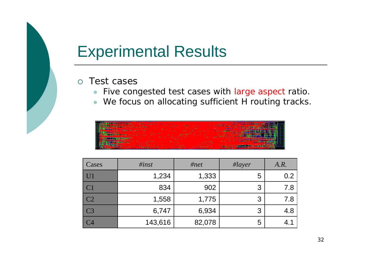#### Experimental Results

#### { Test cases

- $\bullet$ Five congested test cases with large aspect ratio.
- $\bullet\;$  We focus on allocating sufficient H routing tracks.

| Cases           | $\#inst$ | #net   | $\#layer$ | A.R. |
|-----------------|----------|--------|-----------|------|
| U1              | 1,234    | 1,333  | 5         | 0.2  |
| C1              | 834      | 902    | 3         | 7.8  |
| C2              | 1,558    | 1,775  | 3         | 7.8  |
| $\overline{C}$  | 6,747    | 6,934  | 3         | 4.8  |
| $\overline{C4}$ | 143,616  | 82,078 | 5         |      |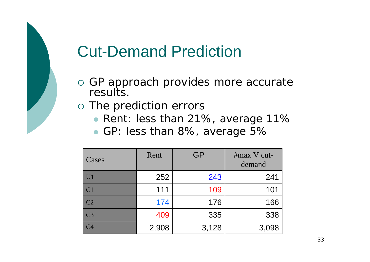#### Cut-Demand Prediction

- o GP approach provides more accurate results.
- $\circ$  The prediction errors
	- Rent: less than 21%, average 11%
	- GP: less than 8%, average 5%

| Cases          | Rent  | <b>GP</b> | #max V cut-<br>demand |
|----------------|-------|-----------|-----------------------|
| U1             | 252   | 243       | 241                   |
| C1             | 111   | 109       | 101                   |
| C2             | 174   | 176       | 166                   |
| C <sub>3</sub> | 409   | 335       | 338                   |
| C <sub>4</sub> | 2,908 | 3,128     | 3,098                 |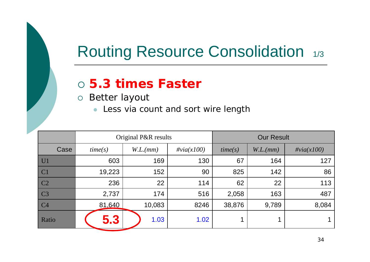# Routing Resource Consolidation 1/3

#### { **5.3 times Faster**

o Better layout

• Less via count and sort wire length

|                 | Original P&R results |          |               | <b>Our Result</b> |          |               |
|-----------------|----------------------|----------|---------------|-------------------|----------|---------------|
| Case            | time(s)              | W.L.(mm) | $\#via(x100)$ | time(s)           | W.L.(mm) | $\#via(x100)$ |
| U1              | 603                  | 169      | 130           | 67                | 164      | 127           |
| C1              | 19,223               | 152      | 90            | 825               | 142      | 86            |
| C2              | 236                  | 22       | 114           | 62                | 22       | 113           |
| $\overline{C}$  | 2,737                | 174      | 516           | 2,058             | 163      | 487           |
| $\overline{C4}$ | 81,640               | 10,083   | 8246          | 38,876            | 9,789    | 8,084         |
| <b>Ratio</b>    | 5.3                  | 1.03     | 1.02          |                   |          |               |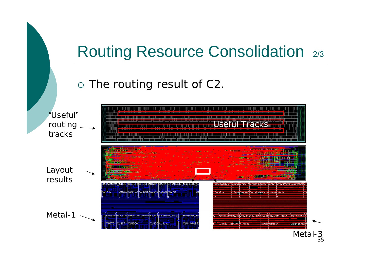# Routing Resource Consolidation 2/3

#### $\circ$  The routing result of C2.



35Metal-3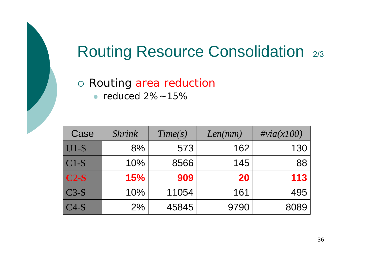# Routing Resource Consolidation 2/3

#### o Routing area reduction

• reduced  $2\%$  ~ 15%

| Case               | <b>Shrink</b> | Time(s) | Len(mm)   | $\#via(x100)$ |
|--------------------|---------------|---------|-----------|---------------|
| $ UI-S $           | 8%            | 573     | 162       | 130           |
| $CI-S$             | 10%           | 8566    | 145       | 88            |
| $C2-S$             | 15%           | 909     | <b>20</b> | 113           |
| $\overline{C}$ 3-S | 10%           | 11054   | 161       | 495           |
| $\overline{C4-S}$  | 2%            | 45845   | 9790      | 8089          |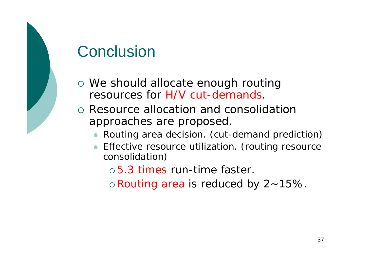### **Conclusion**

- o We should allocate enough routing resources for H/V cut-demands.
- { Resource allocation and consolidation approaches are proposed.
	- $\bullet$ Routing area decision. (cut-demand prediction)
	- Effective resource utilization. (routing resource consolidation)

 $\circ$  5.3 times run-time faster.

o Routing area is reduced by 2~15%.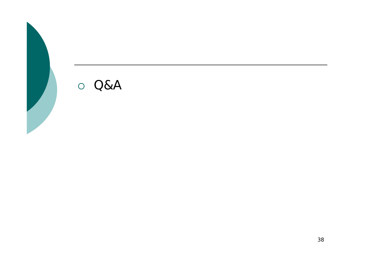#### $\circ$  Q&A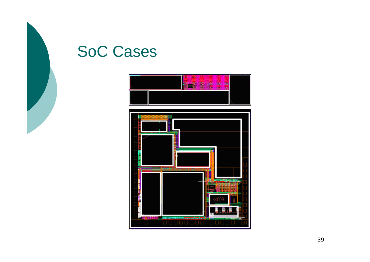